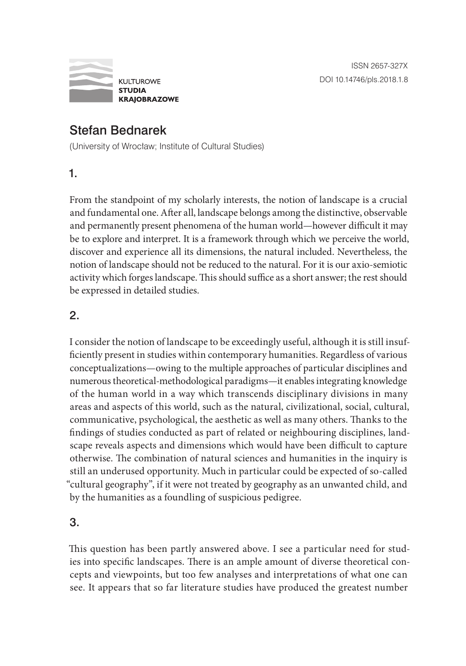

## Stefan Bednarek

(University of Wrocław; Institute of Cultural Studies)

1.

From the standpoint of my scholarly interests, the notion of landscape is a crucial and fundamental one. After all, landscape belongs among the distinctive, observable and permanently present phenomena of the human world—however difficult it may be to explore and interpret. It is a framework through which we perceive the world, discover and experience all its dimensions, the natural included. Nevertheless, the notion of landscape should not be reduced to the natural. For it is our axio-semiotic activity which forges landscape. This should suffice as a short answer; the rest should be expressed in detailed studies.

## 2.

I consider the notion of landscape to be exceedingly useful, although it is still insufficiently present in studies within contemporary humanities. Regardless of various conceptualizations—owing to the multiple approaches of particular disciplines and numerous theoretical-methodological paradigms—it enables integrating knowledge of the human world in a way which transcends disciplinary divisions in many areas and aspects of this world, such as the natural, civilizational, social, cultural, communicative, psychological, the aesthetic as well as many others. Thanks to the findings of studies conducted as part of related or neighbouring disciplines, landscape reveals aspects and dimensions which would have been difficult to capture otherwise. The combination of natural sciences and humanities in the inquiry is still an underused opportunity. Much in particular could be expected of so-called "cultural geography", if it were not treated by geography as an unwanted child, and by the humanities as a foundling of suspicious pedigree.

## 3.

This question has been partly answered above. I see a particular need for studies into specific landscapes. There is an ample amount of diverse theoretical concepts and viewpoints, but too few analyses and interpretations of what one can see. It appears that so far literature studies have produced the greatest number